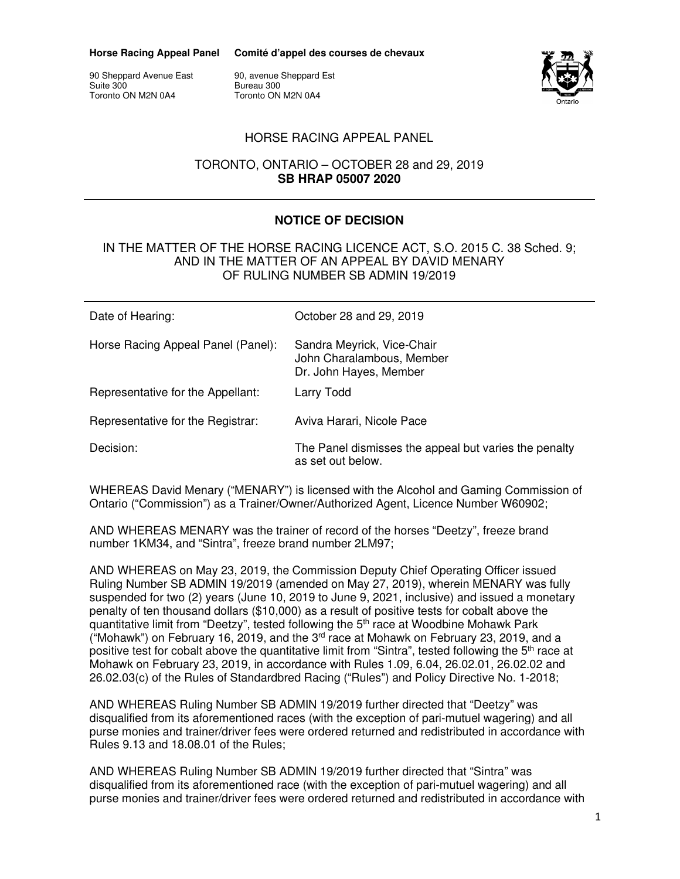**Horse Racing Appeal Panel** 

**Comité d'appel des courses de chevaux** 

90 Sheppard Avenue East Suite 300 Toronto ON M2N 0A4

90, avenue Sheppard Est Bureau 300 Toronto ON M2N 0A4



## HORSE RACING APPEAL PANEL

## TORONTO, ONTARIO – OCTOBER 28 and 29, 2019 **SB HRAP 05007 2020**

## **NOTICE OF DECISION**

#### IN THE MATTER OF THE HORSE RACING LICENCE ACT, S.O. 2015 C. 38 Sched. 9; AND IN THE MATTER OF AN APPEAL BY DAVID MENARY OF RULING NUMBER SB ADMIN 19/2019

| Date of Hearing:                   | October 28 and 29, 2019                                                           |
|------------------------------------|-----------------------------------------------------------------------------------|
| Horse Racing Appeal Panel (Panel): | Sandra Meyrick, Vice-Chair<br>John Charalambous, Member<br>Dr. John Hayes, Member |
| Representative for the Appellant:  | Larry Todd                                                                        |
| Representative for the Registrar:  | Aviva Harari, Nicole Pace                                                         |
| Decision:                          | The Panel dismisses the appeal but varies the penalty<br>as set out below.        |

WHEREAS David Menary ("MENARY") is licensed with the Alcohol and Gaming Commission of Ontario ("Commission") as a Trainer/Owner/Authorized Agent, Licence Number W60902;

AND WHEREAS MENARY was the trainer of record of the horses "Deetzy", freeze brand number 1KM34, and "Sintra", freeze brand number 2LM97;

AND WHEREAS on May 23, 2019, the Commission Deputy Chief Operating Officer issued Ruling Number SB ADMIN 19/2019 (amended on May 27, 2019), wherein MENARY was fully suspended for two (2) years (June 10, 2019 to June 9, 2021, inclusive) and issued a monetary penalty of ten thousand dollars (\$10,000) as a result of positive tests for cobalt above the quantitative limit from "Deetzy", tested following the  $5<sup>th</sup>$  race at Woodbine Mohawk Park ("Mohawk") on February 16, 2019, and the  $3<sup>rd</sup>$  race at Mohawk on February 23, 2019, and a positive test for cobalt above the quantitative limit from "Sintra", tested following the 5<sup>th</sup> race at Mohawk on February 23, 2019, in accordance with Rules 1.09, 6.04, 26.02.01, 26.02.02 and 26.02.03(c) of the Rules of Standardbred Racing ("Rules") and Policy Directive No. 1-2018;

AND WHEREAS Ruling Number SB ADMIN 19/2019 further directed that "Deetzy" was disqualified from its aforementioned races (with the exception of pari-mutuel wagering) and all purse monies and trainer/driver fees were ordered returned and redistributed in accordance with Rules 9.13 and 18.08.01 of the Rules;

AND WHEREAS Ruling Number SB ADMIN 19/2019 further directed that "Sintra" was disqualified from its aforementioned race (with the exception of pari-mutuel wagering) and all purse monies and trainer/driver fees were ordered returned and redistributed in accordance with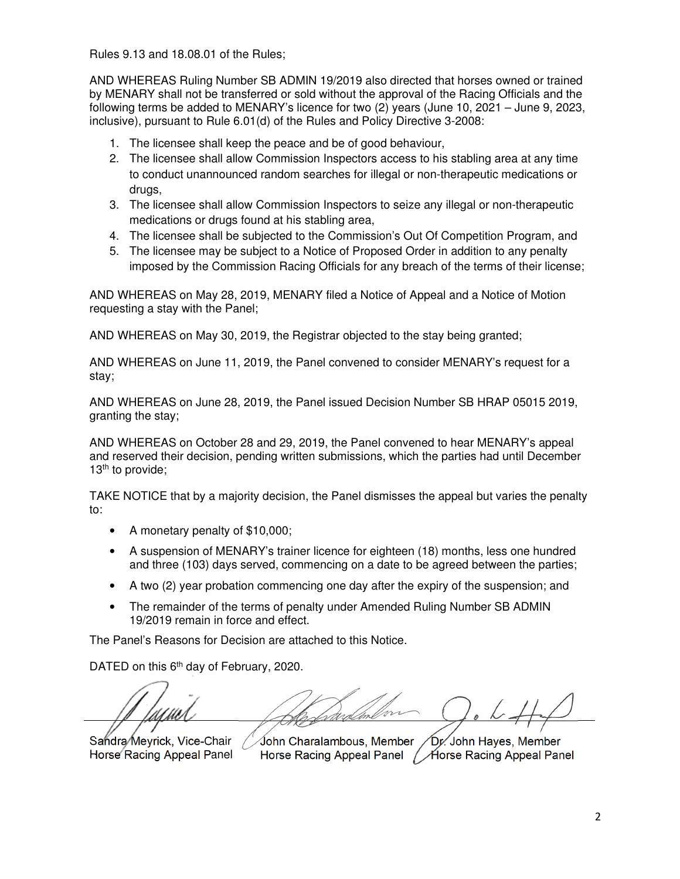Rules 9.13 and 18.08.01 of the Rules;

AND WHEREAS Ruling Number SB ADMIN 19/2019 also directed that horses owned or trained by MENARY shall not be transferred or sold without the approval of the Racing Officials and the following terms be added to MENARY's licence for two (2) years (June 10, 2021 – June 9, 2023, inclusive), pursuant to Rule 6.01(d) of the Rules and Policy Directive 3-2008:

- 1. The licensee shall keep the peace and be of good behaviour,
- 2. The licensee shall allow Commission Inspectors access to his stabling area at any time to conduct unannounced random searches for illegal or non-therapeutic medications or drugs,
- 3. The licensee shall allow Commission Inspectors to seize any illegal or non-therapeutic medications or drugs found at his stabling area,
- 4. The licensee shall be subjected to the Commission's Out Of Competition Program, and
- 5. The licensee may be subject to a Notice of Proposed Order in addition to any penalty imposed by the Commission Racing Officials for any breach of the terms of their license;

AND WHEREAS on May 28, 2019, MENARY filed a Notice of Appeal and a Notice of Motion requesting a stay with the Panel;

AND WHEREAS on May 30, 2019, the Registrar objected to the stay being granted;

AND WHEREAS on June 11, 2019, the Panel convened to consider MENARY's request for a stay;

AND WHEREAS on June 28, 2019, the Panel issued Decision Number SB HRAP 05015 2019, granting the stay;

AND WHEREAS on October 28 and 29, 2019, the Panel convened to hear MENARY's appeal and reserved their decision, pending written submissions, which the parties had until December 13<sup>th</sup> to provide;

TAKE NOTICE that by a majority decision, the Panel dismisses the appeal but varies the penalty to:

- A monetary penalty of \$10,000;
- A suspension of MENARY's trainer licence for eighteen (18) months, less one hundred and three (103) days served, commencing on a date to be agreed between the parties;
- A two (2) year probation commencing one day after the expiry of the suspension; and
- The remainder of the terms of penalty under Amended Ruling Number SB ADMIN 19/2019 remain in force and effect.

The Panel's Reasons for Decision are attached to this Notice.

DATED on this 6<sup>th</sup> day of February, 2020.

Sandra Meyrick, Vice-Chair Horse Racing Appeal Panel

John Charalambous, Member Horse Racing Appeal Panel Horse Racing Appeal Panel Dr. John Hayes, Member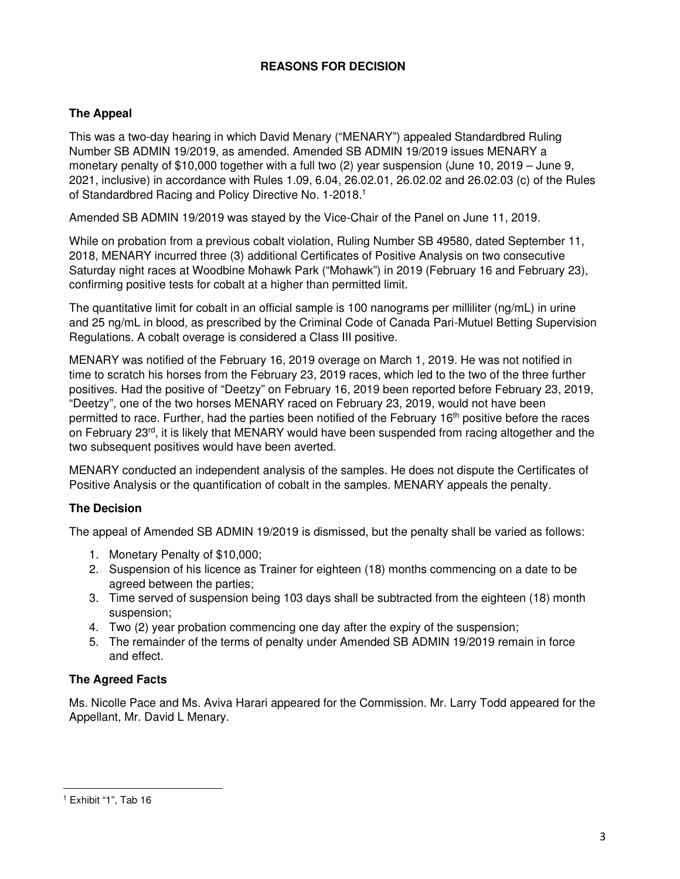# **REASONS FOR DECISION**

# **The Appeal**

This was a two-day hearing in which David Menary ("MENARY") appealed Standardbred Ruling Number SB ADMIN 19/2019, as amended. Amended SB ADMIN 19/2019 issues MENARY a monetary penalty of \$10,000 together with a full two (2) year suspension (June 10, 2019 – June 9, 2021, inclusive) in accordance with Rules 1.09, 6.04, 26.02.01, 26.02.02 and 26.02.03 (c) of the Rules of Standardbred Racing and Policy Directive No. 1-2018.<sup>1</sup>

Amended SB ADMIN 19/2019 was stayed by the Vice-Chair of the Panel on June 11, 2019.

While on probation from a previous cobalt violation, Ruling Number SB 49580, dated September 11, 2018, MENARY incurred three (3) additional Certificates of Positive Analysis on two consecutive Saturday night races at Woodbine Mohawk Park ("Mohawk") in 2019 (February 16 and February 23), confirming positive tests for cobalt at a higher than permitted limit.

The quantitative limit for cobalt in an official sample is 100 nanograms per milliliter (ng/mL) in urine and 25 ng/mL in blood, as prescribed by the Criminal Code of Canada Pari-Mutuel Betting Supervision Regulations. A cobalt overage is considered a Class III positive.

MENARY was notified of the February 16, 2019 overage on March 1, 2019. He was not notified in time to scratch his horses from the February 23, 2019 races, which led to the two of the three further positives. Had the positive of "Deetzy" on February 16, 2019 been reported before February 23, 2019, "Deetzy", one of the two horses MENARY raced on February 23, 2019, would not have been permitted to race. Further, had the parties been notified of the February 16th positive before the races on February 23rd, it is likely that MENARY would have been suspended from racing altogether and the two subsequent positives would have been averted.

MENARY conducted an independent analysis of the samples. He does not dispute the Certificates of Positive Analysis or the quantification of cobalt in the samples. MENARY appeals the penalty.

## **The Decision**

The appeal of Amended SB ADMIN 19/2019 is dismissed, but the penalty shall be varied as follows:

- 1. Monetary Penalty of \$10,000;
- 2. Suspension of his licence as Trainer for eighteen (18) months commencing on a date to be agreed between the parties;
- 3. Time served of suspension being 103 days shall be subtracted from the eighteen (18) month suspension;
- 4. Two (2) year probation commencing one day after the expiry of the suspension;
- 5. The remainder of the terms of penalty under Amended SB ADMIN 19/2019 remain in force and effect.

## **The Agreed Facts**

Ms. Nicolle Pace and Ms. Aviva Harari appeared for the Commission. Mr. Larry Todd appeared for the Appellant, Mr. David L Menary.

<sup>1</sup> Exhibit "1", Tab 16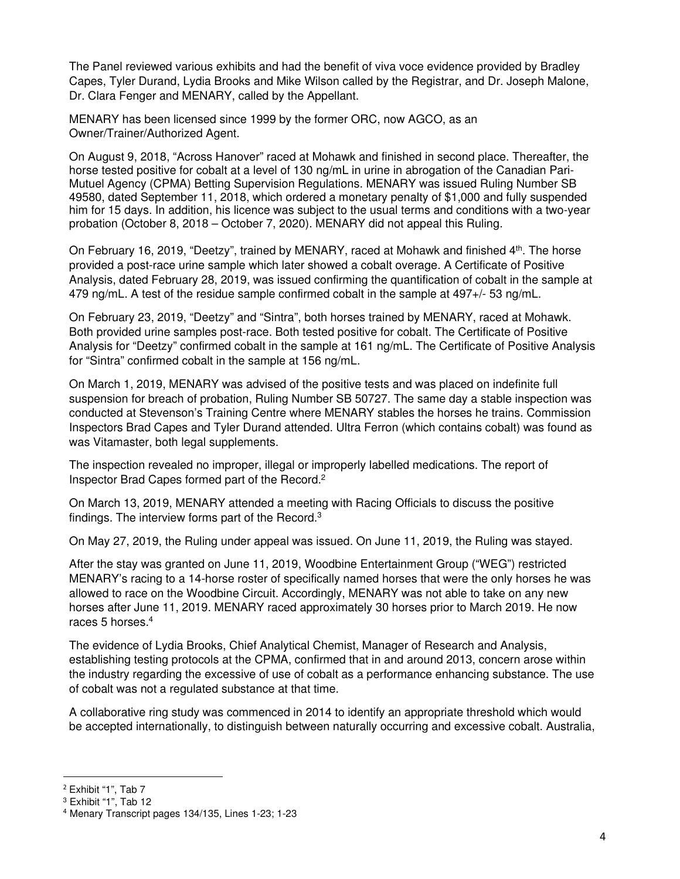The Panel reviewed various exhibits and had the benefit of viva voce evidence provided by Bradley Capes, Tyler Durand, Lydia Brooks and Mike Wilson called by the Registrar, and Dr. Joseph Malone, Dr. Clara Fenger and MENARY, called by the Appellant.

MENARY has been licensed since 1999 by the former ORC, now AGCO, as an Owner/Trainer/Authorized Agent.

On August 9, 2018, "Across Hanover" raced at Mohawk and finished in second place. Thereafter, the horse tested positive for cobalt at a level of 130 ng/mL in urine in abrogation of the Canadian Pari-Mutuel Agency (CPMA) Betting Supervision Regulations. MENARY was issued Ruling Number SB 49580, dated September 11, 2018, which ordered a monetary penalty of \$1,000 and fully suspended him for 15 days. In addition, his licence was subject to the usual terms and conditions with a two-year probation (October 8, 2018 – October 7, 2020). MENARY did not appeal this Ruling.

On February 16, 2019, "Deetzy", trained by MENARY, raced at Mohawk and finished 4th. The horse provided a post-race urine sample which later showed a cobalt overage. A Certificate of Positive Analysis, dated February 28, 2019, was issued confirming the quantification of cobalt in the sample at 479 ng/mL. A test of the residue sample confirmed cobalt in the sample at 497+/- 53 ng/mL.

On February 23, 2019, "Deetzy" and "Sintra", both horses trained by MENARY, raced at Mohawk. Both provided urine samples post-race. Both tested positive for cobalt. The Certificate of Positive Analysis for "Deetzy" confirmed cobalt in the sample at 161 ng/mL. The Certificate of Positive Analysis for "Sintra" confirmed cobalt in the sample at 156 ng/mL.

On March 1, 2019, MENARY was advised of the positive tests and was placed on indefinite full suspension for breach of probation, Ruling Number SB 50727. The same day a stable inspection was conducted at Stevenson's Training Centre where MENARY stables the horses he trains. Commission Inspectors Brad Capes and Tyler Durand attended. Ultra Ferron (which contains cobalt) was found as was Vitamaster, both legal supplements.

The inspection revealed no improper, illegal or improperly labelled medications. The report of Inspector Brad Capes formed part of the Record.<sup>2</sup>

On March 13, 2019, MENARY attended a meeting with Racing Officials to discuss the positive findings. The interview forms part of the Record.<sup>3</sup>

On May 27, 2019, the Ruling under appeal was issued. On June 11, 2019, the Ruling was stayed.

After the stay was granted on June 11, 2019, Woodbine Entertainment Group ("WEG") restricted MENARY's racing to a 14-horse roster of specifically named horses that were the only horses he was allowed to race on the Woodbine Circuit. Accordingly, MENARY was not able to take on any new horses after June 11, 2019. MENARY raced approximately 30 horses prior to March 2019. He now races 5 horses.<sup>4</sup>

The evidence of Lydia Brooks, Chief Analytical Chemist, Manager of Research and Analysis, establishing testing protocols at the CPMA, confirmed that in and around 2013, concern arose within the industry regarding the excessive of use of cobalt as a performance enhancing substance. The use of cobalt was not a regulated substance at that time.

A collaborative ring study was commenced in 2014 to identify an appropriate threshold which would be accepted internationally, to distinguish between naturally occurring and excessive cobalt. Australia,

 $2$  Exhibit "1", Tab 7

<sup>3</sup> Exhibit "1", Tab 12

<sup>4</sup> Menary Transcript pages 134/135, Lines 1-23; 1-23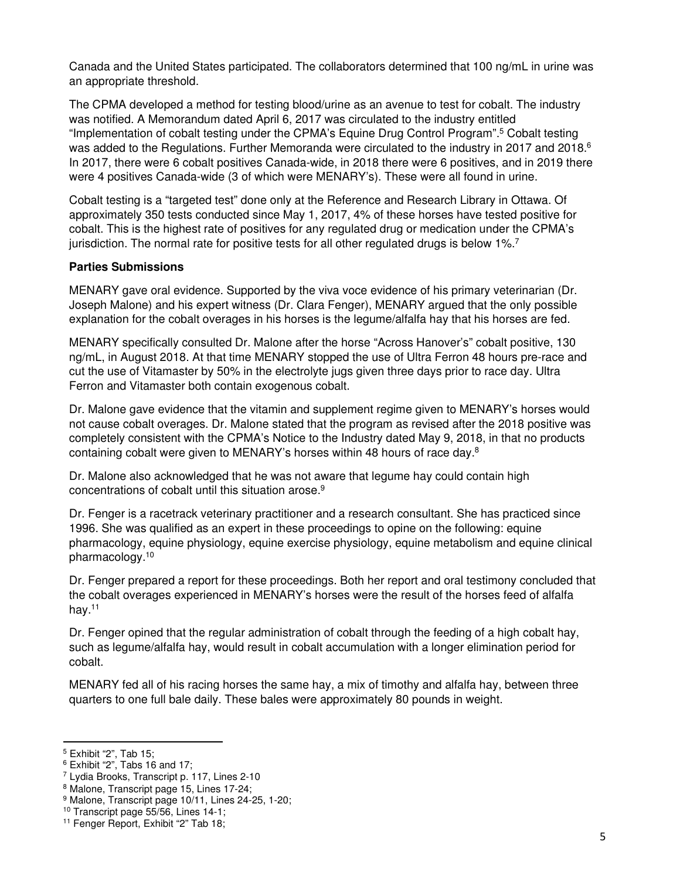Canada and the United States participated. The collaborators determined that 100 ng/mL in urine was an appropriate threshold.

The CPMA developed a method for testing blood/urine as an avenue to test for cobalt. The industry was notified. A Memorandum dated April 6, 2017 was circulated to the industry entitled "Implementation of cobalt testing under the CPMA's Equine Drug Control Program".<sup>5</sup> Cobalt testing was added to the Regulations. Further Memoranda were circulated to the industry in 2017 and 2018.<sup>6</sup> In 2017, there were 6 cobalt positives Canada-wide, in 2018 there were 6 positives, and in 2019 there were 4 positives Canada-wide (3 of which were MENARY's). These were all found in urine.

Cobalt testing is a "targeted test" done only at the Reference and Research Library in Ottawa. Of approximately 350 tests conducted since May 1, 2017, 4% of these horses have tested positive for cobalt. This is the highest rate of positives for any regulated drug or medication under the CPMA's jurisdiction. The normal rate for positive tests for all other regulated drugs is below 1%.<sup>7</sup> 

#### **Parties Submissions**

MENARY gave oral evidence. Supported by the viva voce evidence of his primary veterinarian (Dr. Joseph Malone) and his expert witness (Dr. Clara Fenger), MENARY argued that the only possible explanation for the cobalt overages in his horses is the legume/alfalfa hay that his horses are fed.

MENARY specifically consulted Dr. Malone after the horse "Across Hanover's" cobalt positive, 130 ng/mL, in August 2018. At that time MENARY stopped the use of Ultra Ferron 48 hours pre-race and cut the use of Vitamaster by 50% in the electrolyte jugs given three days prior to race day. Ultra Ferron and Vitamaster both contain exogenous cobalt.

Dr. Malone gave evidence that the vitamin and supplement regime given to MENARY's horses would not cause cobalt overages. Dr. Malone stated that the program as revised after the 2018 positive was completely consistent with the CPMA's Notice to the Industry dated May 9, 2018, in that no products containing cobalt were given to MENARY's horses within 48 hours of race day. $8$ 

Dr. Malone also acknowledged that he was not aware that legume hay could contain high concentrations of cobalt until this situation arose. 9

Dr. Fenger is a racetrack veterinary practitioner and a research consultant. She has practiced since 1996. She was qualified as an expert in these proceedings to opine on the following: equine pharmacology, equine physiology, equine exercise physiology, equine metabolism and equine clinical pharmacology.<sup>10</sup>

Dr. Fenger prepared a report for these proceedings. Both her report and oral testimony concluded that the cobalt overages experienced in MENARY's horses were the result of the horses feed of alfalfa hay.<sup>11</sup>

Dr. Fenger opined that the regular administration of cobalt through the feeding of a high cobalt hay, such as legume/alfalfa hay, would result in cobalt accumulation with a longer elimination period for cobalt.

MENARY fed all of his racing horses the same hay, a mix of timothy and alfalfa hay, between three quarters to one full bale daily. These bales were approximately 80 pounds in weight.

<sup>5</sup> Exhibit "2", Tab 15;

<sup>6</sup> Exhibit "2", Tabs 16 and 17;

<sup>7</sup> Lydia Brooks, Transcript p. 117, Lines 2-10

<sup>8</sup> Malone, Transcript page 15, Lines 17-24;

<sup>9</sup> Malone, Transcript page 10/11, Lines 24-25, 1-20;

<sup>10</sup> Transcript page 55/56, Lines 14-1;

<sup>11</sup> Fenger Report, Exhibit "2" Tab 18;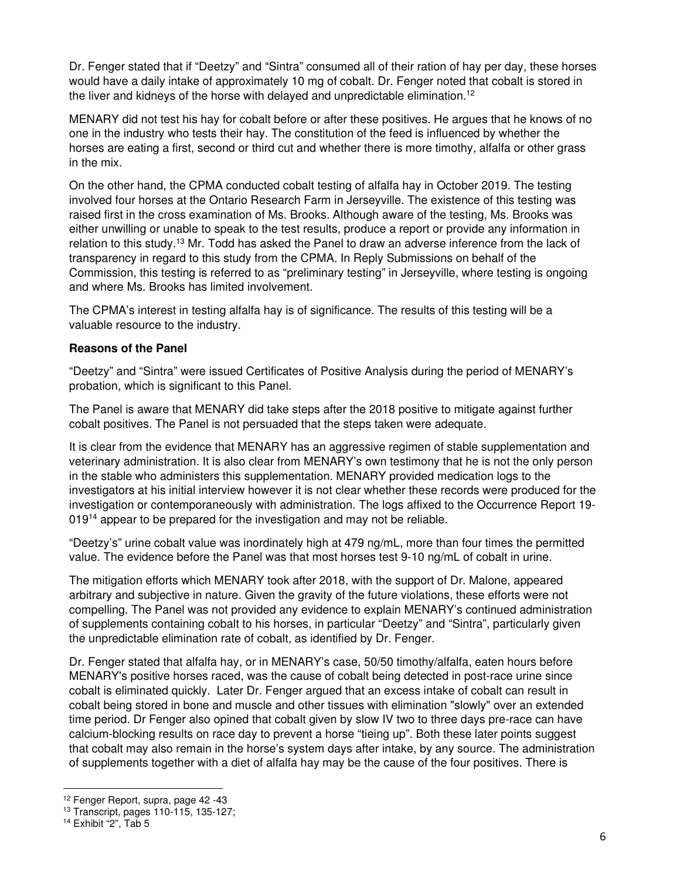Dr. Fenger stated that if "Deetzy" and "Sintra" consumed all of their ration of hay per day, these horses would have a daily intake of approximately 10 mg of cobalt. Dr. Fenger noted that cobalt is stored in the liver and kidneys of the horse with delayed and unpredictable elimination.<sup>12</sup>

MENARY did not test his hay for cobalt before or after these positives. He argues that he knows of no one in the industry who tests their hay. The constitution of the feed is influenced by whether the horses are eating a first, second or third cut and whether there is more timothy, alfalfa or other grass in the mix.

On the other hand, the CPMA conducted cobalt testing of alfalfa hay in October 2019. The testing involved four horses at the Ontario Research Farm in Jerseyville. The existence of this testing was raised first in the cross examination of Ms. Brooks. Although aware of the testing, Ms. Brooks was either unwilling or unable to speak to the test results, produce a report or provide any information in relation to this study.<sup>13</sup> Mr. Todd has asked the Panel to draw an adverse inference from the lack of transparency in regard to this study from the CPMA. In Reply Submissions on behalf of the Commission, this testing is referred to as "preliminary testing" in Jerseyville, where testing is ongoing and where Ms. Brooks has limited involvement.

The CPMA's interest in testing alfalfa hay is of significance. The results of this testing will be a valuable resource to the industry.

#### **Reasons of the Panel**

"Deetzy" and "Sintra" were issued Certificates of Positive Analysis during the period of MENARY's probation, which is significant to this Panel.

The Panel is aware that MENARY did take steps after the 2018 positive to mitigate against further cobalt positives. The Panel is not persuaded that the steps taken were adequate.

It is clear from the evidence that MENARY has an aggressive regimen of stable supplementation and veterinary administration. It is also clear from MENARY's own testimony that he is not the only person in the stable who administers this supplementation. MENARY provided medication logs to the investigators at his initial interview however it is not clear whether these records were produced for the investigation or contemporaneously with administration. The logs affixed to the Occurrence Report 19- 019<sup>14</sup> appear to be prepared for the investigation and may not be reliable.

"Deetzy's" urine cobalt value was inordinately high at 479 ng/mL, more than four times the permitted value. The evidence before the Panel was that most horses test 9-10 ng/mL of cobalt in urine.

The mitigation efforts which MENARY took after 2018, with the support of Dr. Malone, appeared arbitrary and subjective in nature. Given the gravity of the future violations, these efforts were not compelling. The Panel was not provided any evidence to explain MENARY's continued administration of supplements containing cobalt to his horses, in particular "Deetzy" and "Sintra", particularly given the unpredictable elimination rate of cobalt, as identified by Dr. Fenger.

Dr. Fenger stated that alfalfa hay, or in MENARY's case, 50/50 timothy/alfalfa, eaten hours before MENARY's positive horses raced, was the cause of cobalt being detected in post-race urine since cobalt is eliminated quickly. Later Dr. Fenger argued that an excess intake of cobalt can result in cobalt being stored in bone and muscle and other tissues with elimination "slowly" over an extended time period. Dr Fenger also opined that cobalt given by slow IV two to three days pre-race can have calcium-blocking results on race day to prevent a horse "tieing up". Both these later points suggest that cobalt may also remain in the horse's system days after intake, by any source. The administration of supplements together with a diet of alfalfa hay may be the cause of the four positives. There is

<sup>12</sup> Fenger Report, supra, page 42 -43

<sup>13</sup> Transcript, pages 110-115, 135-127;

<sup>14</sup> Exhibit "2", Tab 5